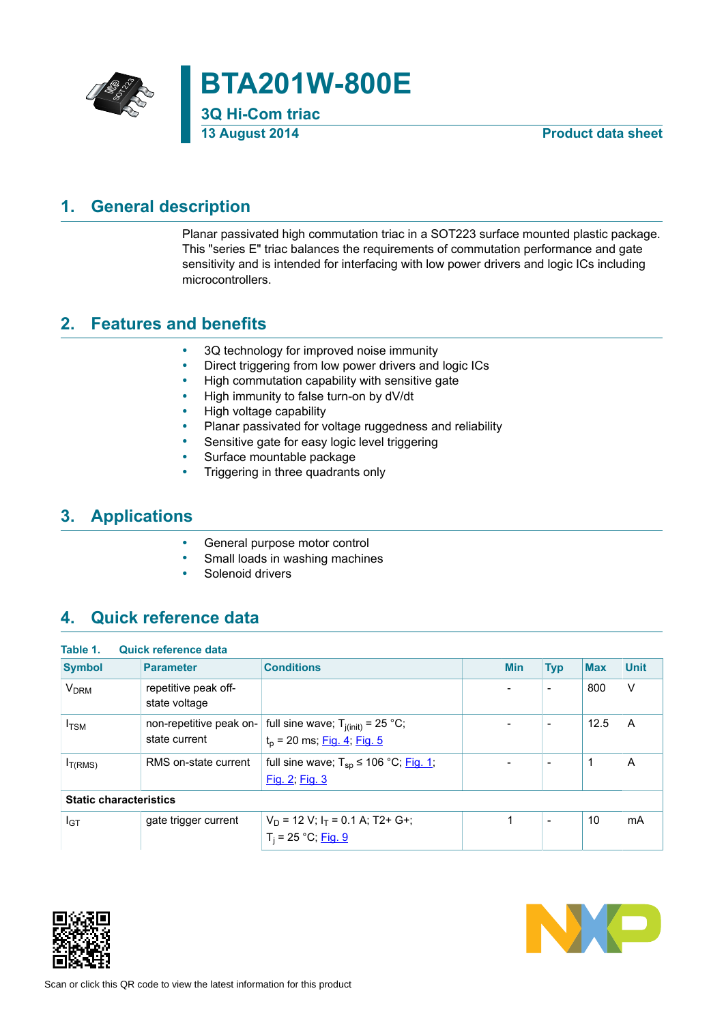

## **1. General description**

<span id="page-0-0"></span>Planar passivated high commutation triac in a SOT223 surface mounted plastic package. This "series E" triac balances the requirements of commutation performance and gate sensitivity and is intended for interfacing with low power drivers and logic ICs including microcontrollers.

## **2. Features and benefits**

- <span id="page-0-1"></span>• 3Q technology for improved noise immunity
- Direct triggering from low power drivers and logic ICs
- High commutation capability with sensitive gate
- High immunity to false turn-on by dV/dt
- High voltage capability
- Planar passivated for voltage ruggedness and reliability
- Sensitive gate for easy logic level triggering
- Surface mountable package
- Triggering in three quadrants only

## **3. Applications**

- <span id="page-0-2"></span>• General purpose motor control
- Small loads in washing machines
- <span id="page-0-3"></span>Solenoid drivers

## **4. Quick reference data**

| Table 1.                      | Quick reference data                     |                                                                                |            |                          |            |             |
|-------------------------------|------------------------------------------|--------------------------------------------------------------------------------|------------|--------------------------|------------|-------------|
| <b>Symbol</b>                 | <b>Parameter</b>                         | <b>Conditions</b>                                                              | <b>Min</b> | <b>Typ</b>               | <b>Max</b> | <b>Unit</b> |
| <b>V<sub>DRM</sub></b>        | repetitive peak off-<br>state voltage    |                                                                                |            | $\overline{\phantom{a}}$ | 800        | $\vee$      |
| $I_{TSM}$                     | non-repetitive peak on-<br>state current | full sine wave; $T_{j(int)} = 25 °C$ ;<br>$t_p$ = 20 ms; <u>Fig. 4; Fig. 5</u> |            | $\blacksquare$           | 12.5       | A           |
| I <sub>T(RMS)</sub>           | RMS on-state current                     | full sine wave; $T_{sp} \le 106 °C$ ; Fig. 1;<br>Fig. 2; Fig. 3                |            | $\overline{\phantom{0}}$ |            | A           |
| <b>Static characteristics</b> |                                          |                                                                                |            |                          |            |             |
| I <sub>GT</sub>               | gate trigger current                     | $V_D$ = 12 V; $I_T$ = 0.1 A; T2+ G+;<br>$T_i = 25 °C;$ Fig. 9                  |            | $\overline{\phantom{a}}$ | 10         | mA          |



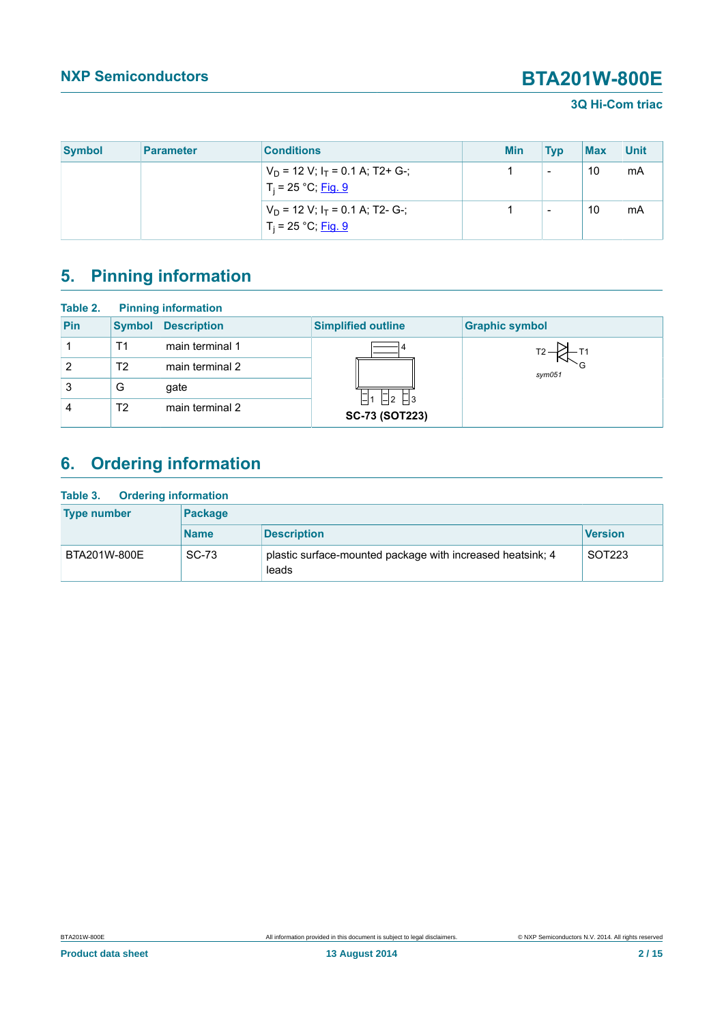### **3Q Hi-Com triac**

| <b>Symbol</b> | <b>Parameter</b> | <b>Conditions</b>                                             | <b>Min</b> | <b>Typ</b>               | <b>Max</b> | <b>Unit</b> |
|---------------|------------------|---------------------------------------------------------------|------------|--------------------------|------------|-------------|
|               |                  | $V_D$ = 12 V; $I_T$ = 0.1 A; T2+ G-;<br>$T_i = 25 °C;$ Fig. 9 |            | $\overline{\phantom{0}}$ | 10         | mA          |
|               |                  | $V_D$ = 12 V; $I_T$ = 0.1 A; T2- G-;<br>$T_i = 25 °C;$ Fig. 9 |            | $\overline{\phantom{0}}$ | 10         | mA          |

# <span id="page-1-0"></span>**5. Pinning information**

| Table 2.       |                | <b>Pinning information</b> |                                          |                       |
|----------------|----------------|----------------------------|------------------------------------------|-----------------------|
| Pin            | <b>Symbol</b>  | <b>Description</b>         | <b>Simplified outline</b>                | <b>Graphic symbol</b> |
|                | Τ1             | main terminal 1            |                                          |                       |
| $\overline{2}$ | T <sub>2</sub> | main terminal 2            |                                          | $s$ ym $051$          |
| 3              | G              | gate                       |                                          |                       |
| 4              | T2             | main terminal 2            | $-11$ $-2$ $-3$<br><b>SC-73 (SOT223)</b> |                       |

# <span id="page-1-1"></span>**6. Ordering information**

| <b>Ordering information</b><br>Table 3. |                |                                                                     |                    |  |  |  |  |
|-----------------------------------------|----------------|---------------------------------------------------------------------|--------------------|--|--|--|--|
| <b>Type number</b>                      | <b>Package</b> |                                                                     |                    |  |  |  |  |
|                                         | <b>Name</b>    | <b>Description</b>                                                  | <b>Version</b>     |  |  |  |  |
| BTA201W-800E                            | SC-73          | plastic surface-mounted package with increased heatsink; 4<br>leads | SOT <sub>223</sub> |  |  |  |  |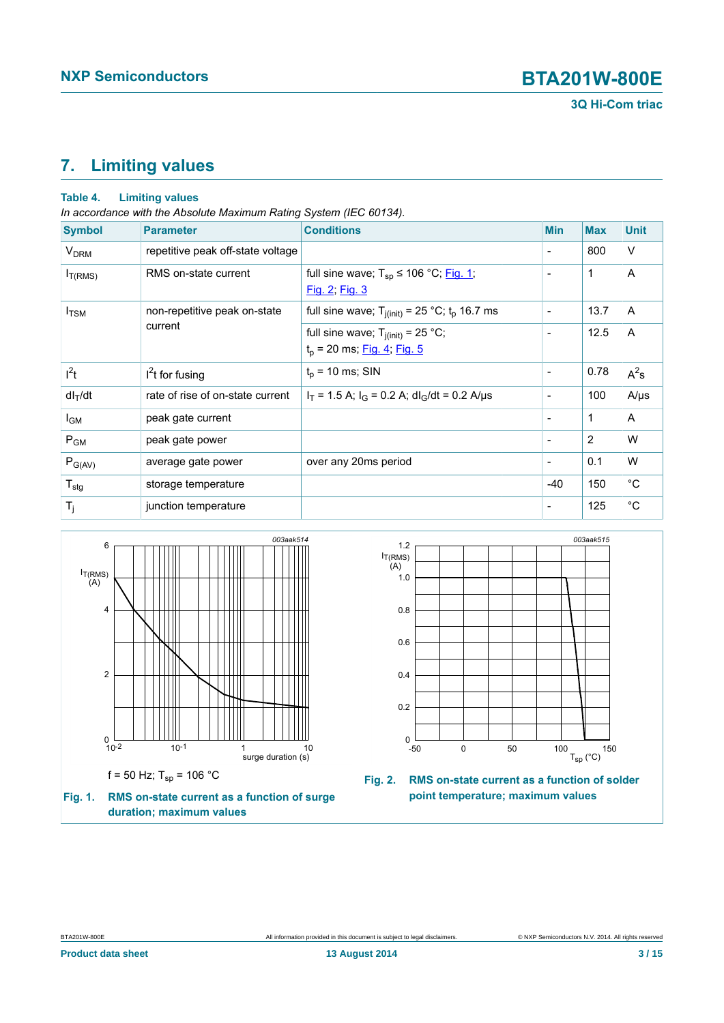**3Q Hi-Com triac**

## <span id="page-2-2"></span>**7. Limiting values**

#### **Table 4. Limiting values**

*In accordance with the Absolute Maximum Rating System (IEC 60134).*

| <b>Symbol</b>          | <b>Parameter</b>                  | <b>Conditions</b>                                                       | <b>Min</b>               | <b>Max</b>   | <b>Unit</b>  |
|------------------------|-----------------------------------|-------------------------------------------------------------------------|--------------------------|--------------|--------------|
| <b>V<sub>DRM</sub></b> | repetitive peak off-state voltage |                                                                         | $\overline{\phantom{a}}$ | 800          | V            |
| $I_{T(RMS)}$           | RMS on-state current              | full sine wave; $T_{sp} \le 106 °C$ ; Fig. 1;<br>Fig. 2; Fig. 3         | $\overline{\phantom{a}}$ | 1            | A            |
| $I_{TSM}$              | non-repetitive peak on-state      | full sine wave; $T_{j(int)} = 25$ °C; $t_p$ 16.7 ms                     | $\overline{\phantom{a}}$ | 13.7         | A            |
|                        | current                           | full sine wave; $T_{j(int)} = 25 °C$ ;<br>$t_p$ = 20 ms; Fig. 4; Fig. 5 | $\overline{\phantom{a}}$ | 12.5         | A            |
| $I^2t$                 | $I2t$ for fusing                  | $t_0$ = 10 ms; SIN                                                      | $\overline{\phantom{a}}$ | 0.78         | $A^2s$       |
| $dl_T/dt$              | rate of rise of on-state current  | $I_T$ = 1.5 A; $I_G$ = 0.2 A; dl <sub>G</sub> /dt = 0.2 A/µs            | $\overline{\phantom{a}}$ | 100          | $A/\mu s$    |
| l <sub>GM</sub>        | peak gate current                 |                                                                         | $\overline{\phantom{a}}$ | $\mathbf{1}$ | A            |
| $P_{GM}$               | peak gate power                   |                                                                         | $\overline{\phantom{a}}$ | 2            | W            |
| $P_{G(AV)}$            | average gate power                | over any 20ms period                                                    | $\overline{\phantom{a}}$ | 0.1          | W            |
| $T_{\text{stg}}$       | storage temperature               |                                                                         | $-40$                    | 150          | $^{\circ}$ C |
| $T_j$                  | junction temperature              |                                                                         | $\overline{\phantom{a}}$ | 125          | $^{\circ}C$  |

<span id="page-2-0"></span>

<span id="page-2-1"></span>

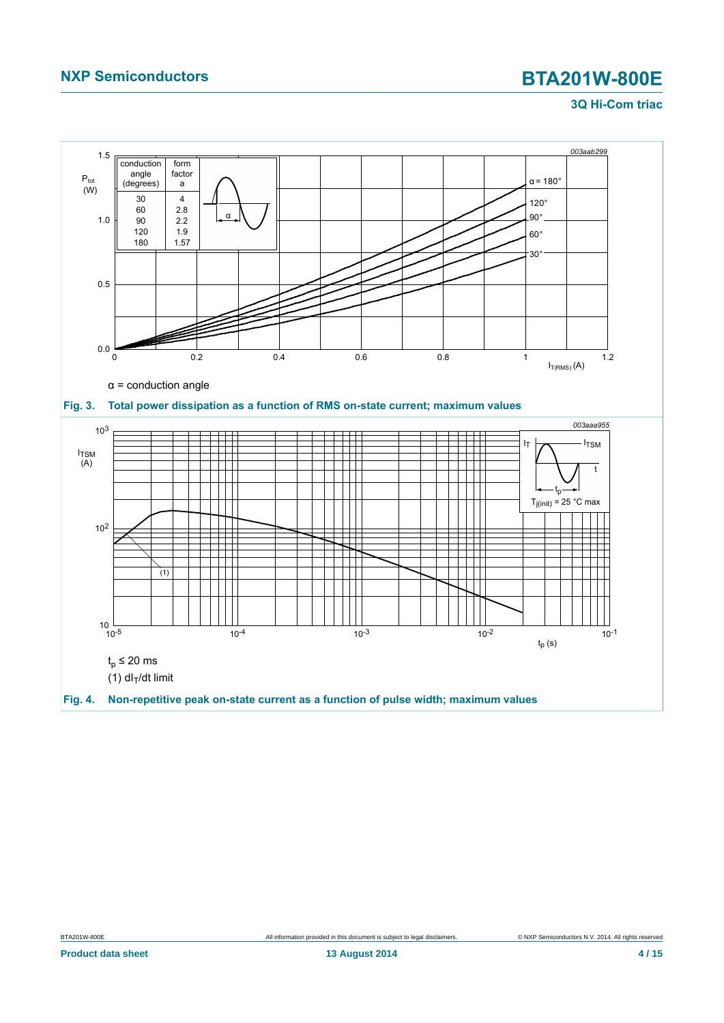### **3Q Hi-Com triac**

<span id="page-3-1"></span><span id="page-3-0"></span>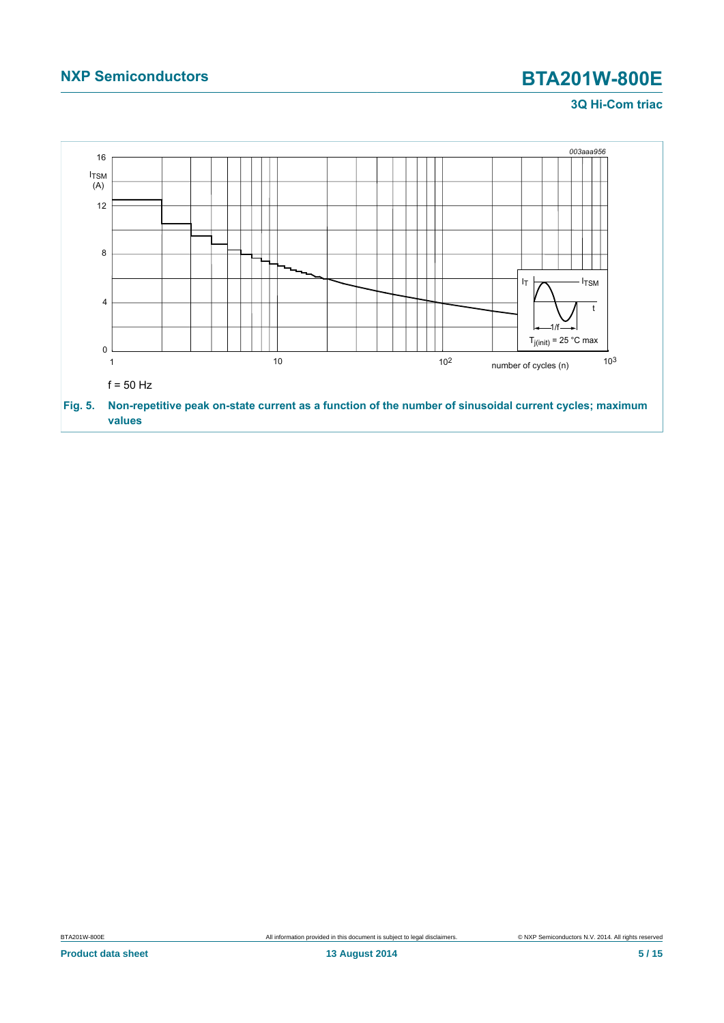### **3Q Hi-Com triac**

<span id="page-4-0"></span>

BTA201W-800E All information provided in this document is subject to legal disclaimers. 
SURP Semiconductors N.V. 2014. All rights reserved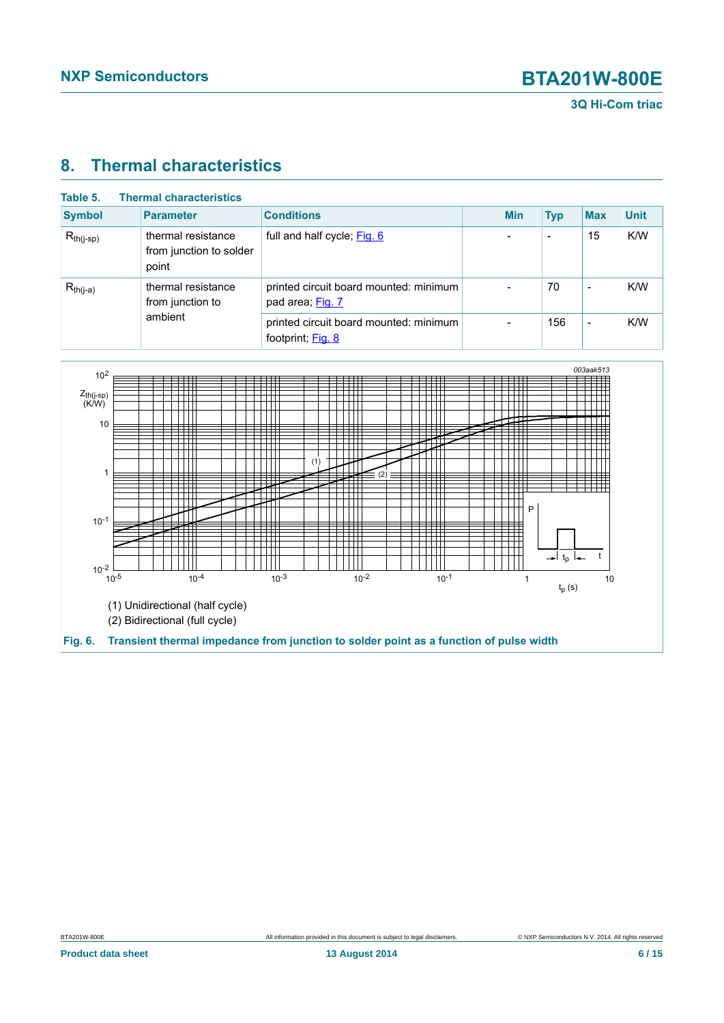

## <span id="page-5-1"></span>**8. Thermal characteristics**

| Table 5.       | <b>Thermal characteristics</b>                         |                                                             |            |            |                          |             |
|----------------|--------------------------------------------------------|-------------------------------------------------------------|------------|------------|--------------------------|-------------|
| <b>Symbol</b>  | <b>Parameter</b>                                       | <b>Conditions</b>                                           | <b>Min</b> | <b>Typ</b> | <b>Max</b>               | <b>Unit</b> |
| $R_{th(i-sp)}$ | thermal resistance<br>from junction to solder<br>point | full and half cycle; Fig. 6                                 |            |            | 15                       | K/W         |
| $R_{th(i-a)}$  | thermal resistance<br>from junction to<br>ambient      | printed circuit board mounted: minimum<br>pad area; Fig. 7  |            | 70         | $\overline{\phantom{0}}$ | K/W         |
|                |                                                        | printed circuit board mounted: minimum<br>footprint; Fig. 8 | -          | 156        | $\overline{\phantom{a}}$ | K/W         |

<span id="page-5-0"></span>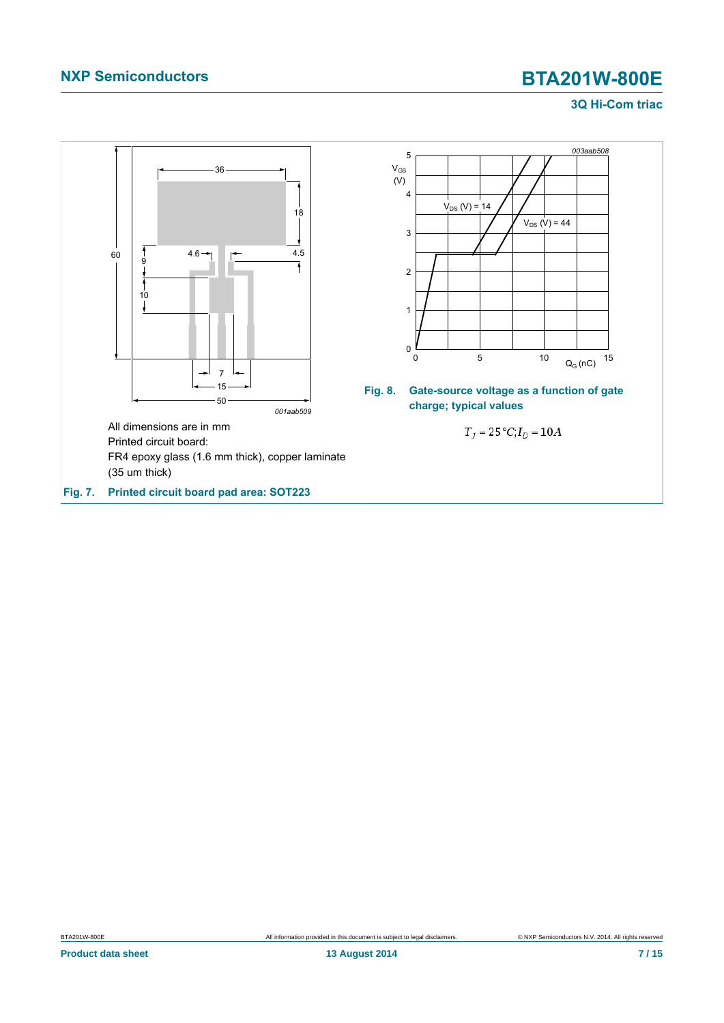### <span id="page-6-1"></span>**3Q Hi-Com triac**

<span id="page-6-0"></span>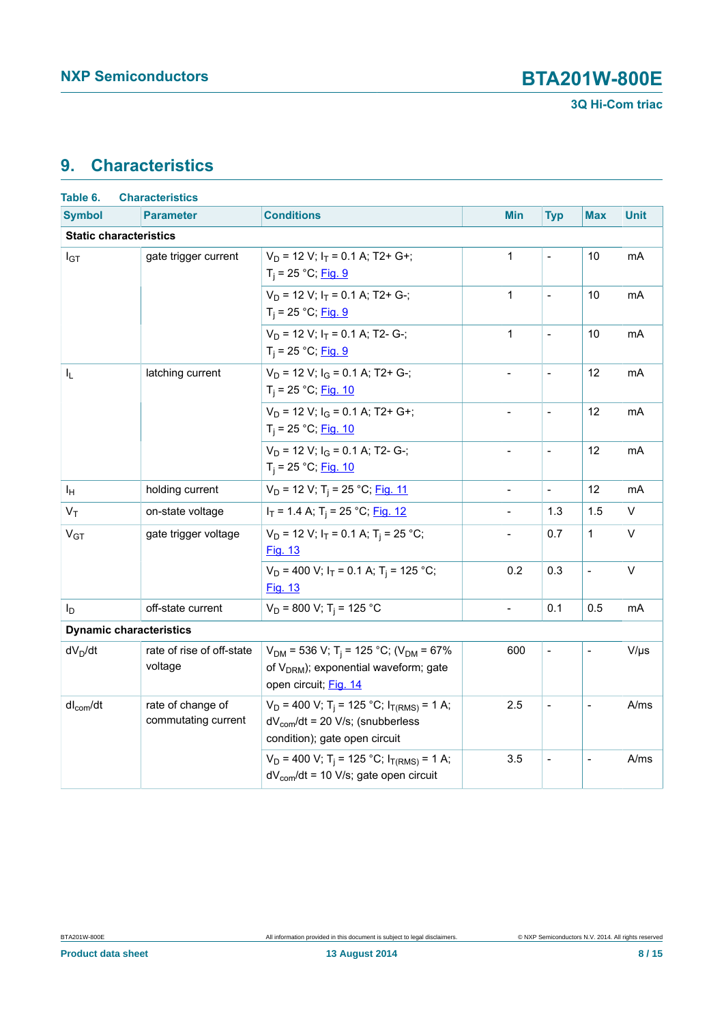## <span id="page-7-0"></span>**9. Characteristics**

| Table 6.                       | <b>Characteristics</b>                   |                                                                                                                                                 |                          |                              |                |                |
|--------------------------------|------------------------------------------|-------------------------------------------------------------------------------------------------------------------------------------------------|--------------------------|------------------------------|----------------|----------------|
| <b>Symbol</b>                  | <b>Parameter</b>                         | <b>Conditions</b>                                                                                                                               | <b>Min</b>               | <b>Typ</b>                   | <b>Max</b>     | <b>Unit</b>    |
| <b>Static characteristics</b>  |                                          |                                                                                                                                                 |                          |                              |                |                |
| $I_{GT}$                       | gate trigger current                     | $V_D$ = 12 V; $I_T$ = 0.1 A; T2+ G+;<br>$T_i = 25 °C;$ Fig. 9                                                                                   | $\mathbf{1}$             | $\frac{1}{2}$                | 10             | m <sub>A</sub> |
|                                |                                          | $V_D$ = 12 V; $I_T$ = 0.1 A; T2+ G-;<br>$T_i = 25 °C;$ Fig. 9                                                                                   | $\mathbf{1}$             | $\qquad \qquad \blacksquare$ | 10             | mA             |
|                                |                                          | $V_D$ = 12 V; $I_T$ = 0.1 A; T2- G-;<br>$T_i = 25 °C;$ Fig. 9                                                                                   | $\mathbf{1}$             | $\overline{a}$               | 10             | mA             |
| I <sub>L</sub>                 | latching current                         | $V_D$ = 12 V; $I_G$ = 0.1 A; T2+ G-;<br>$T_i = 25 °C;$ Fig. 10                                                                                  | $\blacksquare$           | $\overline{a}$               | 12             | mA             |
|                                |                                          | $V_D$ = 12 V; $I_G$ = 0.1 A; T2+ G+;<br>$T_i = 25 °C;$ Fig. 10                                                                                  | $\overline{\phantom{a}}$ | $\frac{1}{2}$                | 12             | mA             |
|                                |                                          | $V_D$ = 12 V; $I_G$ = 0.1 A; T2- G-;<br>$T_i = 25 °C;$ Fig. 10                                                                                  |                          | $\blacksquare$               | 12             | mA             |
| ΙH                             | holding current                          | $V_D$ = 12 V; T <sub>i</sub> = 25 °C; Fig. 11                                                                                                   | $\frac{1}{2}$            | $\overline{a}$               | 12             | mA             |
| $V_T$                          | on-state voltage                         | $I_T$ = 1.4 A; T <sub>i</sub> = 25 °C; Fig. 12                                                                                                  | $\overline{a}$           | 1.3                          | 1.5            | V              |
| V <sub>GT</sub>                | gate trigger voltage                     | $V_D$ = 12 V; $I_T$ = 0.1 A; T <sub>i</sub> = 25 °C;<br><b>Fig. 13</b>                                                                          | $\frac{1}{2}$            | 0.7                          | 1              | V              |
|                                |                                          | $V_D$ = 400 V; $I_T$ = 0.1 A; T <sub>i</sub> = 125 °C;<br>Fig. 13                                                                               | 0.2                      | 0.3                          | $\overline{a}$ | $\vee$         |
| I <sub>D</sub>                 | off-state current                        | $V_D$ = 800 V; T <sub>i</sub> = 125 °C                                                                                                          | $\overline{a}$           | 0.1                          | 0.5            | mA             |
| <b>Dynamic characteristics</b> |                                          |                                                                                                                                                 |                          |                              |                |                |
| $dV_D/dt$                      | rate of rise of off-state<br>voltage     | $V_{DM}$ = 536 V; T <sub>i</sub> = 125 °C; (V <sub>DM</sub> = 67%<br>of V <sub>DRM</sub> ); exponential waveform; gate<br>open circuit; Fig. 14 | 600                      | $\overline{a}$               | $\overline{a}$ | $V/\mu s$      |
| $dl_{com}/dt$                  | rate of change of<br>commutating current | $V_D$ = 400 V; T <sub>i</sub> = 125 °C; I <sub>T(RMS)</sub> = 1 A;<br>$dV_{com}/dt$ = 20 V/s; (snubberless<br>condition); gate open circuit     | 2.5                      |                              |                | A/ms           |
|                                |                                          | $V_D$ = 400 V; T <sub>i</sub> = 125 °C; I <sub>T(RMS)</sub> = 1 A;<br>$dV_{com}/dt = 10$ V/s; gate open circuit                                 | 3.5                      |                              |                | A/ms           |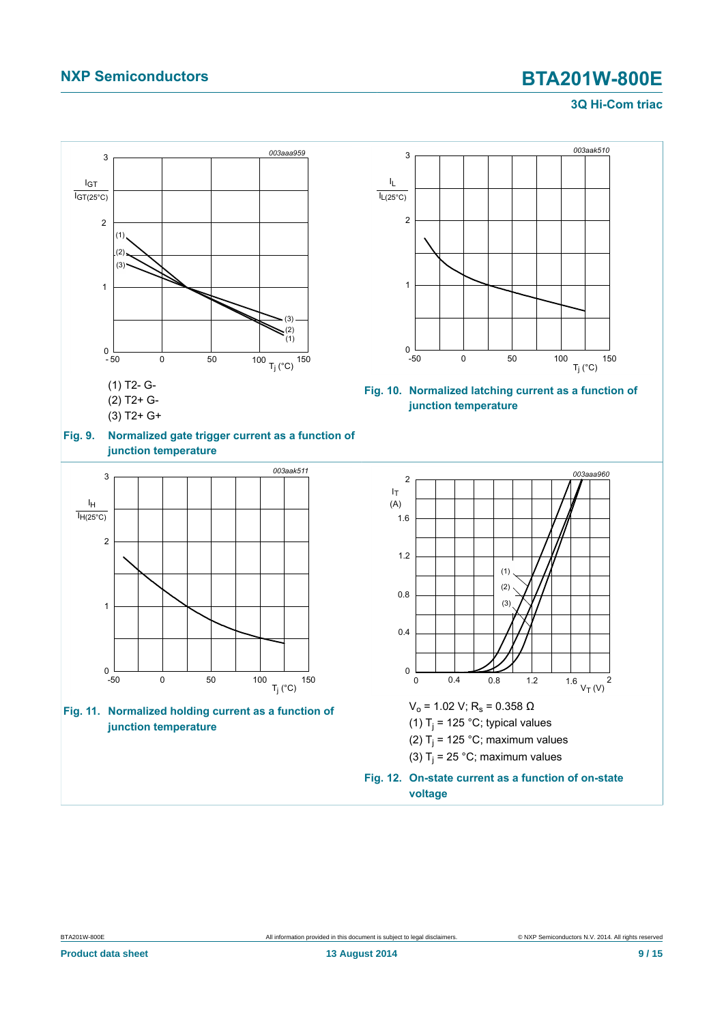#### <span id="page-8-3"></span><span id="page-8-1"></span>**3Q Hi-Com triac**

<span id="page-8-2"></span><span id="page-8-0"></span>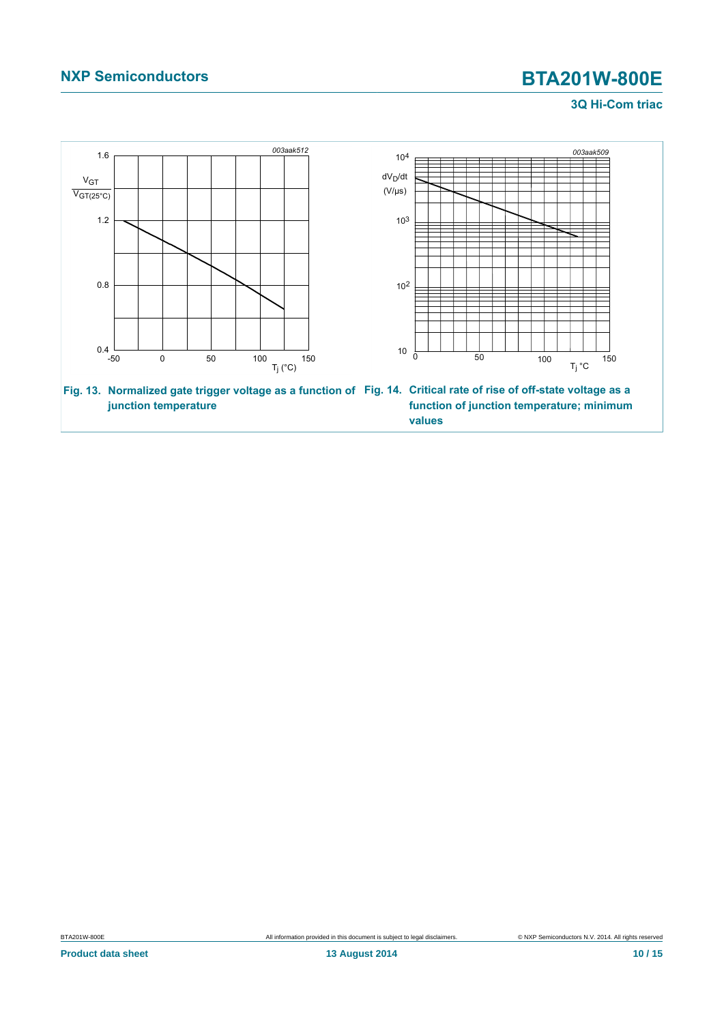### <span id="page-9-1"></span>**3Q Hi-Com triac**

<span id="page-9-0"></span>

BTA201W-800E All information provided in this document is subject to legal disclaimers. 
SURP Semiconductors N.V. 2014. All rights reserved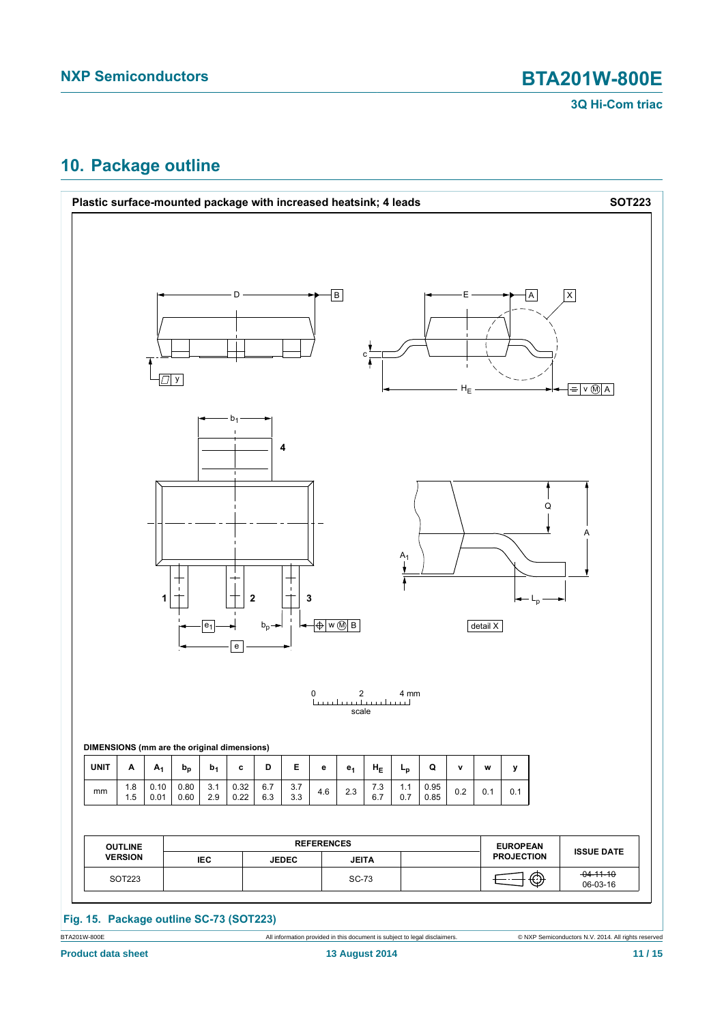

## <span id="page-10-0"></span>**10. Package outline**



**Product data sheet 13 August 2014 11 / 15**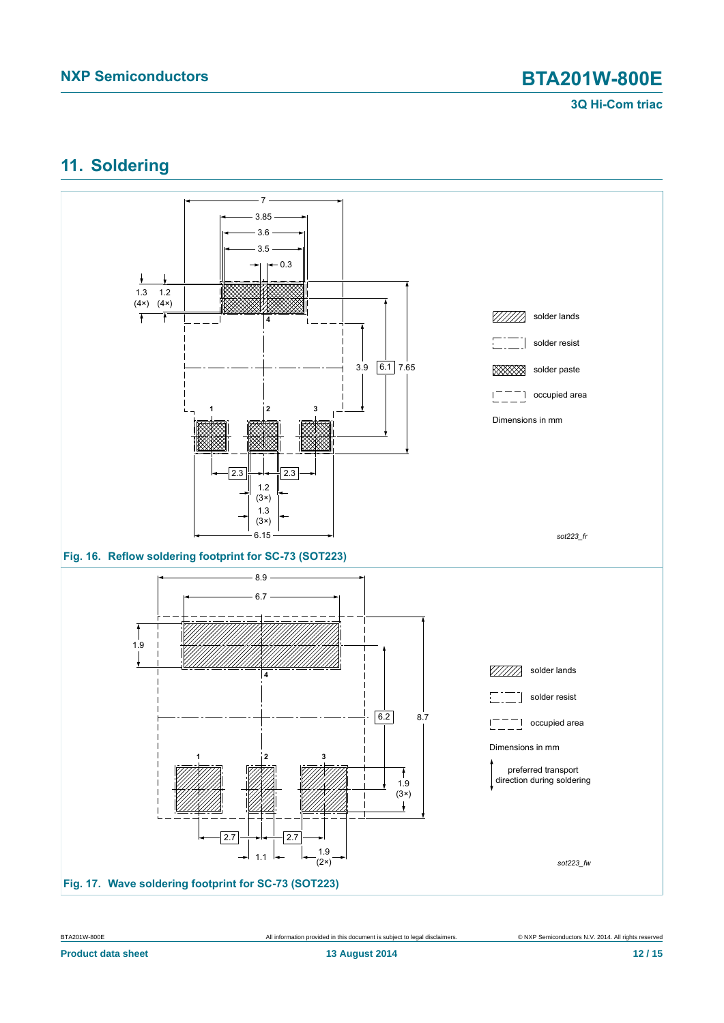### **3Q Hi-Com triac**

## <span id="page-11-0"></span>**11. Soldering**



BTA201W-800E All information provided in this document is subject to legal disclaimers. © NXP Semiconductors N.V. 2014. All rights reserved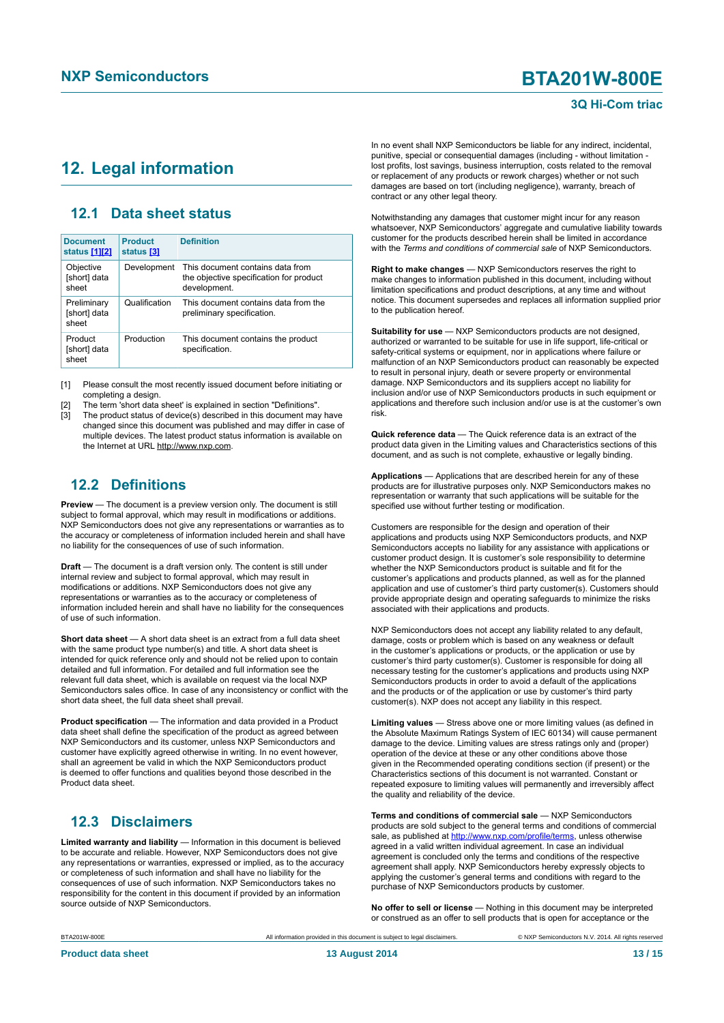#### **3Q Hi-Com triac**

## <span id="page-12-1"></span><span id="page-12-0"></span>**12. Legal information**

### <span id="page-12-2"></span>**12.1 Data sheet status**

| <b>Document</b><br>status [1][2]     | <b>Product</b><br>status [3] | <b>Definition</b>                                                                           |
|--------------------------------------|------------------------------|---------------------------------------------------------------------------------------------|
| Objective<br>[short] data<br>sheet   | Development                  | This document contains data from<br>the objective specification for product<br>development. |
| Preliminary<br>[short] data<br>sheet | Qualification                | This document contains data from the<br>preliminary specification.                          |
| Product<br>[short] data<br>sheet     | Production                   | This document contains the product<br>specification.                                        |

[1] Please consult the most recently issued document before initiating or completing a design.

[2] The term 'short data sheet' is explained in section "Definitions".

The product status of device(s) described in this document may have changed since this document was published and may differ in case of multiple devices. The latest product status information is available on the Internet at URL http://www.nxp.com.

### <span id="page-12-3"></span>**12.2 Definitions**

**Preview** — The document is a preview version only. The document is still subject to formal approval, which may result in modifications or additions. NXP Semiconductors does not give any representations or warranties as to the accuracy or completeness of information included herein and shall have no liability for the consequences of use of such information.

**Draft** — The document is a draft version only. The content is still under internal review and subject to formal approval, which may result in modifications or additions. NXP Semiconductors does not give any representations or warranties as to the accuracy or completeness of information included herein and shall have no liability for the consequences of use of such information.

**Short data sheet** — A short data sheet is an extract from a full data sheet with the same product type number(s) and title. A short data sheet is intended for quick reference only and should not be relied upon to contain detailed and full information. For detailed and full information see the relevant full data sheet, which is available on request via the local NXP Semiconductors sales office. In case of any inconsistency or conflict with the short data sheet, the full data sheet shall prevail.

**Product specification** — The information and data provided in a Product data sheet shall define the specification of the product as agreed between NXP Semiconductors and its customer, unless NXP Semiconductors and customer have explicitly agreed otherwise in writing. In no event however, shall an agreement be valid in which the NXP Semiconductors product is deemed to offer functions and qualities beyond those described in the Product data sheet.

### <span id="page-12-4"></span>**12.3 Disclaimers**

**Limited warranty and liability** — Information in this document is believed to be accurate and reliable. However, NXP Semiconductors does not give any representations or warranties, expressed or implied, as to the accuracy or completeness of such information and shall have no liability for the consequences of use of such information. NXP Semiconductors takes no responsibility for the content in this document if provided by an information source outside of NXP Semiconductors.

In no event shall NXP Semiconductors be liable for any indirect, incidental, punitive, special or consequential damages (including - without limitation lost profits, lost savings, business interruption, costs related to the removal or replacement of any products or rework charges) whether or not such damages are based on tort (including negligence), warranty, breach of contract or any other legal theory.

Notwithstanding any damages that customer might incur for any reason whatsoever, NXP Semiconductors' aggregate and cumulative liability towards customer for the products described herein shall be limited in accordance with the *Terms and conditions of commercial sale* of NXP Semiconductors.

**Right to make changes** — NXP Semiconductors reserves the right to make changes to information published in this document, including without limitation specifications and product descriptions, at any time and without notice. This document supersedes and replaces all information supplied prior to the publication hereof.

**Suitability for use** — NXP Semiconductors products are not designed, authorized or warranted to be suitable for use in life support, life-critical or safety-critical systems or equipment, nor in applications where failure or malfunction of an NXP Semiconductors product can reasonably be expected to result in personal injury, death or severe property or environmental damage. NXP Semiconductors and its suppliers accept no liability for inclusion and/or use of NXP Semiconductors products in such equipment or applications and therefore such inclusion and/or use is at the customer's own risk.

**Quick reference data** — The Quick reference data is an extract of the product data given in the Limiting values and Characteristics sections of this document, and as such is not complete, exhaustive or legally binding.

**Applications** — Applications that are described herein for any of these products are for illustrative purposes only. NXP Semiconductors makes no representation or warranty that such applications will be suitable for the specified use without further testing or modification.

Customers are responsible for the design and operation of their applications and products using NXP Semiconductors products, and NXP Semiconductors accepts no liability for any assistance with applications or customer product design. It is customer's sole responsibility to determine whether the NXP Semiconductors product is suitable and fit for the customer's applications and products planned, as well as for the planned application and use of customer's third party customer(s). Customers should provide appropriate design and operating safeguards to minimize the risks associated with their applications and products.

NXP Semiconductors does not accept any liability related to any default, damage, costs or problem which is based on any weakness or default in the customer's applications or products, or the application or use by customer's third party customer(s). Customer is responsible for doing all necessary testing for the customer's applications and products using NXP Semiconductors products in order to avoid a default of the applications and the products or of the application or use by customer's third party customer(s). NXP does not accept any liability in this respect.

**Limiting values** — Stress above one or more limiting values (as defined in the Absolute Maximum Ratings System of IEC 60134) will cause permanent damage to the device. Limiting values are stress ratings only and (proper) operation of the device at these or any other conditions above those given in the Recommended operating conditions section (if present) or the Characteristics sections of this document is not warranted. Constant or repeated exposure to limiting values will permanently and irreversibly affect the quality and reliability of the device.

**Terms and conditions of commercial sale** — NXP Semiconductors products are sold subject to the general terms and conditions of commercial sale, as published at<http://www.nxp.com/profile/terms>, unless otherwise agreed in a valid written individual agreement. In case an individual agreement is concluded only the terms and conditions of the respective agreement shall apply. NXP Semiconductors hereby expressly objects to applying the customer's general terms and conditions with regard to the purchase of NXP Semiconductors products by customer.

**No offer to sell or license** — Nothing in this document may be interpreted or construed as an offer to sell products that is open for acceptance or the

BTA201W-800E All information provided in this document is subject to legal disclaimers. © NXP Semiconductors N.V. 2014. All rights reserved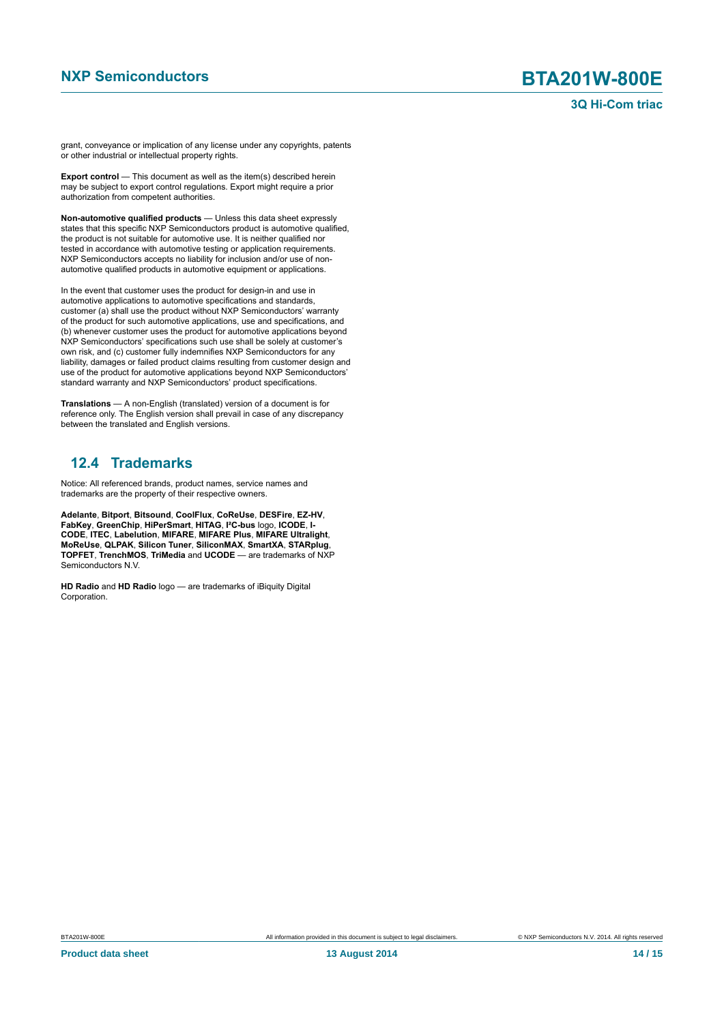grant, conveyance or implication of any license under any copyrights, patents or other industrial or intellectual property rights.

**Export control** — This document as well as the item(s) described herein may be subject to export control regulations. Export might require a prior authorization from competent authorities.

**Non-automotive qualified products** — Unless this data sheet expressly states that this specific NXP Semiconductors product is automotive qualified, the product is not suitable for automotive use. It is neither qualified nor tested in accordance with automotive testing or application requirements. NXP Semiconductors accepts no liability for inclusion and/or use of nonautomotive qualified products in automotive equipment or applications.

In the event that customer uses the product for design-in and use in automotive applications to automotive specifications and standards, customer (a) shall use the product without NXP Semiconductors' warranty of the product for such automotive applications, use and specifications, and (b) whenever customer uses the product for automotive applications beyond NXP Semiconductors' specifications such use shall be solely at customer's own risk, and (c) customer fully indemnifies NXP Semiconductors for any liability, damages or failed product claims resulting from customer design and use of the product for automotive applications beyond NXP Semiconductors' standard warranty and NXP Semiconductors' product specifications.

**Translations** — A non-English (translated) version of a document is for reference only. The English version shall prevail in case of any discrepancy between the translated and English versions.

## <span id="page-13-0"></span>**12.4 Trademarks**

Notice: All referenced brands, product names, service names and trademarks are the property of their respective owners.

**Adelante**, **Bitport**, **Bitsound**, **CoolFlux**, **CoReUse**, **DESFire**, **EZ-HV**, **FabKey**, **GreenChip**, **HiPerSmart**, **HITAG**, **I²C-bus** logo, **ICODE**, **I-CODE**, **ITEC**, **Labelution**, **MIFARE**, **MIFARE Plus**, **MIFARE Ultralight**, **MoReUse**, **QLPAK**, **Silicon Tuner**, **SiliconMAX**, **SmartXA**, **STARplug**, **TOPFET**, **TrenchMOS**, **TriMedia** and **UCODE** — are trademarks of NXP Semiconductors N.V.

**HD Radio** and **HD Radio** logo — are trademarks of iBiquity Digital Corporation.